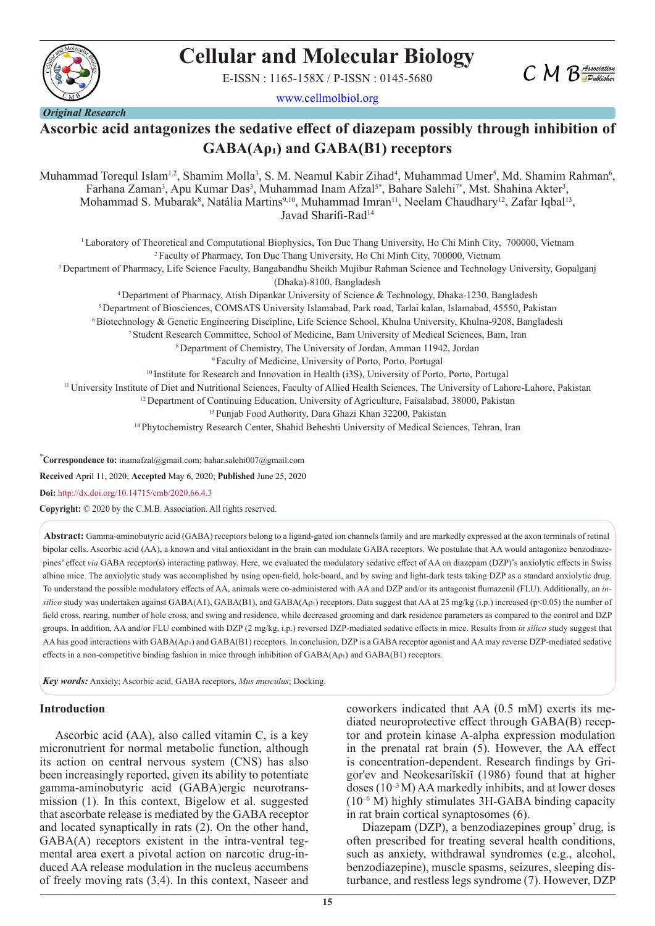

# **Cellular and Molecular Biology**

E-ISSN : 1165-158X / P-ISSN : 0145-5680



www.cellmolbiol.org

# **Ascorbic acid antagonizes the sedative effect of diazepam possibly through inhibition of GABA(Aρ₁) and GABA(B1) receptors**

Muhammad Torequl Islam<sup>1,2</sup>, Shamim Molla<sup>3</sup>, S. M. Neamul Kabir Zihad<sup>4</sup>, Muhammad Umer<sup>5</sup>, Md. Shamim Rahman<sup>6</sup>, Farhana Zaman<sup>3</sup>, Apu Kumar Das<sup>3</sup>, Muhammad Inam Afzal<sup>5\*</sup>, Bahare Salehi<sup>7\*</sup>, Mst. Shahina Akter<sup>3</sup>, Mohammad S. Mubarak<sup>8</sup>, Natália Martins<sup>9,10</sup>, Muhammad Imran<sup>11</sup>, Neelam Chaudhary<sup>12</sup>, Zafar Iqbal<sup>13</sup>, Javad Sharifi-Rad<sup>14</sup>

1 Laboratory of Theoretical and Computational Biophysics, Ton Duc Thang University, Ho Chi Minh City, 700000, Vietnam 2 Faculty of Pharmacy, Ton Duc Thang University, Ho Chi Minh City, 700000, Vietnam <sup>3</sup> Department of Pharmacy, Life Science Faculty, Bangabandhu Sheikh Mujibur Rahman Science and Technology University, Gopalganj (Dhaka)-8100, Bangladesh 4 Department of Pharmacy, Atish Dipankar University of Science & Technology, Dhaka-1230, Bangladesh 5 Department of Biosciences, COMSATS University Islamabad, Park road, Tarlai kalan, Islamabad, 45550, Pakistan 6 Biotechnology & Genetic Engineering Discipline, Life Science School, Khulna University, Khulna-9208, Bangladesh 7 Student Research Committee, School of Medicine, Bam University of Medical Sciences, Bam, Iran 8 Department of Chemistry, The University of Jordan, Amman 11942, Jordan 9 Faculty of Medicine, University of Porto, Porto, Portugal <sup>10</sup> Institute for Research and Innovation in Health (i3S), University of Porto, Porto, Portugal 11 University Institute of Diet and Nutritional Sciences, Faculty of Allied Health Sciences, The University of Lahore-Lahore, Pakistan <sup>12</sup> Department of Continuing Education, University of Agriculture, Faisalabad, 38000, Pakistan 13 Punjab Food Authority, Dara Ghazi Khan 32200, Pakistan 14 Phytochemistry Research Center, Shahid Beheshti University of Medical Sciences, Tehran, Iran

\* **Correspondence to:** inamafzal@gmail.com; bahar.salehi007@gmail.com

**Received** April 11, 2020; **Accepted** May 6, 2020; **Published** June 25, 2020

**Doi:** http://dx.doi.org/10.14715/cmb/2020.66.4.3

**Copyright:** © 2020 by the C.M.B. Association. All rights reserved.

**Abstract:** Gamma-aminobutyric acid (GABA) receptors belong to a ligand-gated ion channels family and are markedly expressed at the axon terminals of retinal bipolar cells. Ascorbic acid (AA), a known and vital antioxidant in the brain can modulate GABA receptors. We postulate that AA would antagonize benzodiazepines' effect via GABA receptor(s) interacting pathway. Here, we evaluated the modulatory sedative effect of AA on diazepam (DZP)'s anxiolytic effects in Swiss albino mice. The anxiolytic study was accomplished by using open-field, hole-board, and by swing and light-dark tests taking DZP as a standard anxiolytic drug. To understand the possible modulatory effects of AA, animals were co-administered with AA and DZP and/or its antagonist flumazenil (FLU). Additionally, an *in* $silico$  study was undertaken against GABA(A1), GABA(B1), and GABA( $A_{p1}$ ) receptors. Data suggest that AA at 25 mg/kg (i.p.) increased (p<0.05) the number of field cross, rearing, number of hole cross, and swing and residence, while decreased grooming and dark residence parameters as compared to the control and DZP groups. In addition, AA and/or FLU combined with DZP (2 mg/kg, i.p.) reversed DZP-mediated sedative effects in mice. Results from *in silico* study suggest that AA has good interactions with GABA(Aρı) and GABA(B1) receptors. In conclusion, DZP is a GABA receptor agonist and AA may reverse DZP-mediated sedative effects in a non-competitive binding fashion in mice through inhibition of  $GABA(Ap_1)$  and  $GABA(B1)$  receptors.

*Key words:* Anxiety; Ascorbic acid, GABA receptors, *Mus musculus*; Docking.

#### **Introduction**

Ascorbic acid (AA), also called vitamin C, is a key micronutrient for normal metabolic function, although its action on central nervous system (CNS) has also been increasingly reported, given its ability to potentiate gamma-aminobutyric acid (GABA)ergic neurotransmission (1). In this context, Bigelow et al. suggested that ascorbate release is mediated by the GABA receptor and located synaptically in rats (2). On the other hand, GABA(A) receptors existent in the intra-ventral tegmental area exert a pivotal action on narcotic drug-induced AA release modulation in the nucleus accumbens of freely moving rats (3,4). In this context, Naseer and

coworkers indicated that AA (0.5 mM) exerts its mediated neuroprotective effect through GABA(B) receptor and protein kinase A-alpha expression modulation in the prenatal rat brain  $(5)$ . However, the AA effect is concentration-dependent. Research findings by Grigor'ev and Neokesariĭskiĭ (1986) found that at higher doses  $(10^{-3} M)$  AA markedly inhibits, and at lower doses  $(10^{-6}$  M) highly stimulates 3H-GABA binding capacity in rat brain cortical synaptosomes (6).

Diazepam (DZP), a benzodiazepines group' drug, is often prescribed for treating several health conditions, such as anxiety, withdrawal syndromes (e.g., alcohol, benzodiazepine), muscle spasms, seizures, sleeping disturbance, and restless legs syndrome (7). However, DZP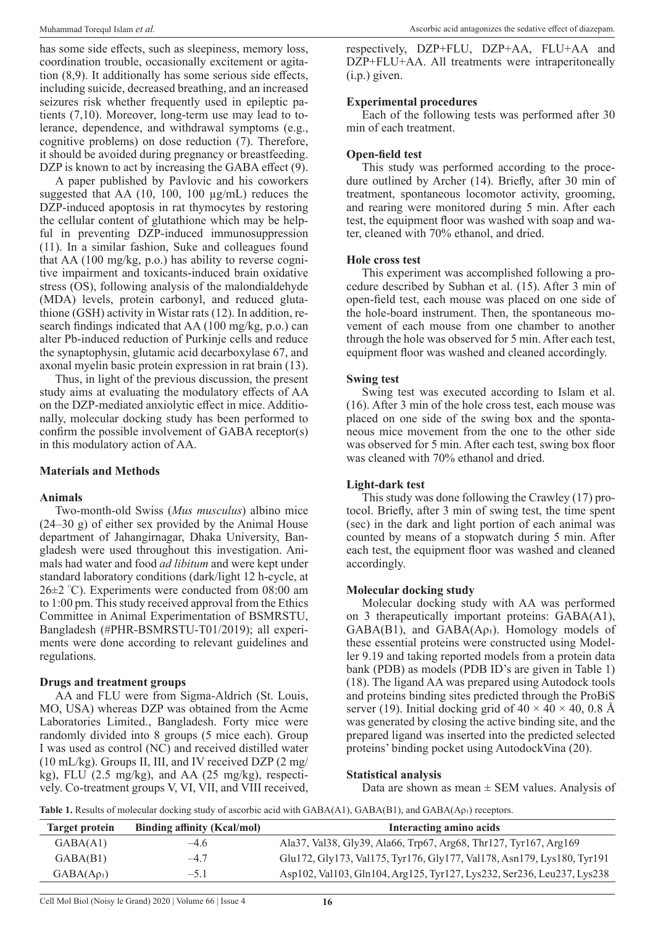has some side effects, such as sleepiness, memory loss, coordination trouble, occasionally excitement or agitation (8,9). It additionally has some serious side effects, including suicide, decreased breathing, and an increased seizures risk whether frequently used in epileptic patients (7,10). Moreover, long-term use may lead to tolerance, dependence, and withdrawal symptoms (e.g., cognitive problems) on dose reduction (7). Therefore, it should be avoided during pregnancy or breastfeeding. DZP is known to act by increasing the GABA effect (9).

A paper published by Pavlovic and his coworkers suggested that AA (10, 100, 100 µg/mL) reduces the DZP-induced apoptosis in rat thymocytes by restoring the cellular content of glutathione which may be helpful in preventing DZP-induced immunosuppression (11). In a similar fashion, Suke and colleagues found that AA (100 mg/kg, p.o.) has ability to reverse cognitive impairment and toxicants-induced brain oxidative stress (OS), following analysis of the malondialdehyde (MDA) levels, protein carbonyl, and reduced glutathione (GSH) activity in Wistar rats (12). In addition, research findings indicated that AA (100 mg/kg, p.o.) can alter Pb-induced reduction of Purkinje cells and reduce the synaptophysin, glutamic acid decarboxylase 67, and axonal myelin basic protein expression in rat brain (13).

Thus, in light of the previous discussion, the present study aims at evaluating the modulatory effects of AA on the DZP-mediated anxiolytic effect in mice. Additionally, molecular docking study has been performed to confirm the possible involvement of GABA receptor(s) in this modulatory action of AA.

# **Materials and Methods**

# **Animals**

Two-month-old Swiss (*Mus musculus*) albino mice (24–30 g) of either sex provided by the Animal House department of Jahangirnagar, Dhaka University, Bangladesh were used throughout this investigation. Animals had water and food *ad libitum* and were kept under standard laboratory conditions (dark/light 12 h-cycle, at 26±2 <sup>ᴼ</sup> C). Experiments were conducted from 08:00 am to 1:00 pm. This study received approval from the Ethics Committee in Animal Experimentation of BSMRSTU, Bangladesh (#PHR-BSMRSTU-T01/2019); all experiments were done according to relevant guidelines and regulations.

# **Drugs and treatment groups**

AA and FLU were from Sigma-Aldrich (St. Louis, MO, USA) whereas DZP was obtained from the Acme Laboratories Limited., Bangladesh. Forty mice were randomly divided into 8 groups (5 mice each). Group I was used as control (NC) and received distilled water (10 mL/kg). Groups II, III, and IV received DZP (2 mg/ kg), FLU (2.5 mg/kg), and AA (25 mg/kg), respectively. Co-treatment groups V, VI, VII, and VIII received,

respectively, DZP+FLU, DZP+AA, FLU+AA and DZP+FLU+AA. All treatments were intraperitoneally (i.p.) given.

# **Experimental procedures**

Each of the following tests was performed after 30 min of each treatment.

# **Open-field test**

This study was performed according to the procedure outlined by Archer (14). Briefly, after 30 min of treatment, spontaneous locomotor activity, grooming, and rearing were monitored during 5 min. After each test, the equipment floor was washed with soap and water, cleaned with 70% ethanol, and dried.

# **Hole cross test**

This experiment was accomplished following a procedure described by Subhan et al. (15). After 3 min of open-field test, each mouse was placed on one side of the hole-board instrument. Then, the spontaneous movement of each mouse from one chamber to another through the hole was observed for 5 min. After each test, equipment floor was washed and cleaned accordingly.

#### **Swing test**

Swing test was executed according to Islam et al. (16). After 3 min of the hole cross test, each mouse was placed on one side of the swing box and the spontaneous mice movement from the one to the other side was observed for 5 min. After each test, swing box floor was cleaned with 70% ethanol and dried.

#### **Light-dark test**

This study was done following the Crawley (17) protocol. Briefly, after 3 min of swing test, the time spent (sec) in the dark and light portion of each animal was counted by means of a stopwatch during 5 min. After each test, the equipment floor was washed and cleaned accordingly.

#### **Molecular docking study**

Molecular docking study with AA was performed on 3 therapeutically important proteins: GABA(A1),  $GABA(B1)$ , and  $GABA(Ap_1)$ . Homology models of these essential proteins were constructed using Modeller 9.19 and taking reported models from a protein data bank (PDB) as models (PDB ID's are given in Table 1) (18). The ligand AA was prepared using Autodock tools and proteins binding sites predicted through the ProBiS server (19). Initial docking grid of  $40 \times 40 \times 40$ , 0.8 Å was generated by closing the active binding site, and the prepared ligand was inserted into the predicted selected proteins' binding pocket using AutodockVina (20).

#### **Statistical analysis**

Data are shown as mean  $\pm$  SEM values. Analysis of

**Table 1.** Results of molecular docking study of ascorbic acid with GABA(A1), GABA(B1), and GABA(Aρ<sub>1</sub>) receptors.

| Target protein  | <b>Binding affinity (Kcal/mol)</b> | Interacting amino acids                                                |
|-----------------|------------------------------------|------------------------------------------------------------------------|
| GABA(A1)        | $-4.6$                             | Ala37, Val38, Gly39, Ala66, Trp67, Arg68, Thr127, Tyr167, Arg169       |
| GABA(B1)        | $-4.7$                             | Glu172, Gly173, Val175, Tyr176, Gly177, Val178, Asn179, Lys180, Tyr191 |
| $GABA(A\rho_1)$ | $-5.1$                             | Asp102, Val103, Gln104, Arg125, Tyr127, Lys232, Ser236, Leu237, Lys238 |

Cell Mol Biol (Noisy le Grand) 2020 | Volume 66 | Issue 4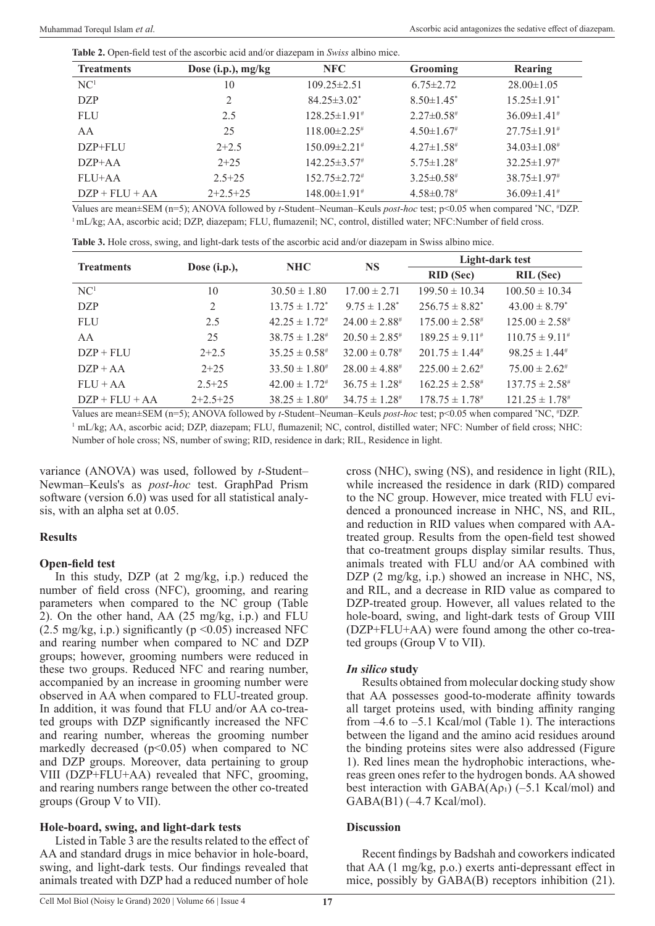**Table 2.** Open-field test of the ascorbic acid and/or diazepam in *Swiss* albino mice.

| <b>Treatments</b> | Dose (i.p.), mg/kg | NFC                            | <b>Grooming</b>   | Rearing                       |
|-------------------|--------------------|--------------------------------|-------------------|-------------------------------|
| NC <sup>1</sup>   | 10                 | $109.25 \pm 2.51$              | $6.75 \pm 2.72$   | $28.00 \pm 1.05$              |
| <b>DZP</b>        | 2                  | $84.25 \pm 3.02^*$             | $8.50 \pm 1.45^*$ | $15.25 \pm 1.91$ <sup>*</sup> |
| <b>FLU</b>        | 2.5                | $128.25 \pm 1.91$ <sup>#</sup> | $2.27 \pm 0.58$ # | $36.09\pm1.41^{\#}$           |
| AA                | 25                 | $118.00\pm2.25$ #              | $4.50 \pm 1.67$   | $27.75 \pm 1.91^{\#}$         |
| DZP+FLU           | $2+2.5$            | $150.09 \pm 2.21$ #            | $4.27 \pm 1.58$ # | $34.03 \pm 1.08$ #            |
| $DZP+A$           | $2+25$             | $142.25 \pm 3.57$              | $5.75 \pm 1.28$ # | $32.25 \pm 1.97$              |
| FLU+AA            | $2.5 + 25$         | $152.75 \pm 2.72^*$            | $3.25 \pm 0.58$ # | $38.75 \pm 1.97$ <sup>#</sup> |
| $DZP + FLU + AA$  | $2+2.5+25$         | $148.00\pm1.91$ <sup>#</sup>   | $4.58 \pm 0.78$ # | $36.09 \pm 1.41^{\#}$         |

Values are mean±SEM (n=5); ANOVA followed by *t*-Student–Neuman–Keuls *post-hoc* test; p<0.05 when compared \*NC, #DZP. <sup>1</sup>mL/kg; AA, ascorbic acid; DZP, diazepam; FLU, flumazenil; NC, control, distilled water; NFC:Number of field cross.

**Table 3.** Hole cross, swing, and light-dark tests of the ascorbic acid and/or diazepam in Swiss albino mice.

| <b>Treatments</b> | Dose $(i.p.),$ | <b>NHC</b>            | <b>NS</b>                     | Light-dark test        |                                |
|-------------------|----------------|-----------------------|-------------------------------|------------------------|--------------------------------|
|                   |                |                       |                               | <b>RID</b> (Sec)       | <b>RIL</b> (Sec)               |
| NC <sup>1</sup>   | 10             | $30.50 \pm 1.80$      | $17.00 \pm 2.71$              | $199.50 \pm 10.34$     | $100.50 \pm 10.34$             |
| <b>DZP</b>        | 2              | $13.75 \pm 1.72^*$    | $9.75 \pm 1.28^*$             | $256.75 \pm 8.82^*$    | $43.00 \pm 8.79^*$             |
| <b>FLU</b>        | 2.5            | $42.25 \pm 1.72^{\#}$ | $24.00 \pm 2.88^{\#}$         | $175.00 \pm 2.58^{\#}$ | $125.00 \pm 2.58^{\#}$         |
| AA                | 25             | $38.75 \pm 1.28^{\#}$ | $20.50 \pm 2.85^{\#}$         | $189.25 \pm 9.11^{\#}$ | $110.75 \pm 9.11^{\#}$         |
| $DZP + FLU$       | $2+2.5$        | $35.25 \pm 0.58^{\#}$ | $32.00 \pm 0.78$ <sup>#</sup> | $201.75 \pm 1.44^{\#}$ | $98.25 \pm 1.44^{\#}$          |
| $DZP + AA$        | $2+25$         | $33.50 \pm 1.80^{\#}$ | $28.00 \pm 4.88^{\#}$         | $225.00 \pm 2.62^{\#}$ | $75.00 \pm 2.62^{\#}$          |
| $FLU + AA$        | $2.5 + 25$     | $42.00 \pm 1.72^{\#}$ | $36.75 \pm 1.28^{\text{*}}$   | $162.25 \pm 2.58^{\#}$ | $137.75 \pm 2.58^{\#}$         |
| $DZP + FLU + AA$  | $2+2.5+25$     | $38.25 \pm 1.80^{\#}$ | $34.75 \pm 1.28^{\#}$         | $178.75 \pm 1.78^{\#}$ | $121.25 \pm 1.78$ <sup>#</sup> |

Values are mean±SEM (n=5); ANOVA followed by *t*-Student–Neuman–Keuls *post-hoc* test; p<0.05 when compared \*NC, #DZP. <sup>1</sup> mL/kg; AA, ascorbic acid; DZP, diazepam; FLU, flumazenil; NC, control, distilled water; NFC: Number of field cross; NHC: Number of hole cross; NS, number of swing; RID, residence in dark; RIL, Residence in light.

variance (ANOVA) was used, followed by *t*-Student– Newman–Keuls's as *post-hoc* test. GraphPad Prism software (version 6.0) was used for all statistical analysis, with an alpha set at 0.05.

#### **Results**

#### **Open-field test**

In this study, DZP (at 2 mg/kg, i.p.) reduced the number of field cross (NFC), grooming, and rearing parameters when compared to the NC group (Table 2). On the other hand, AA (25 mg/kg, i.p.) and FLU (2.5 mg/kg, i.p.) significantly ( $p \le 0.05$ ) increased NFC and rearing number when compared to NC and DZP groups; however, grooming numbers were reduced in these two groups. Reduced NFC and rearing number, accompanied by an increase in grooming number were observed in AA when compared to FLU-treated group. In addition, it was found that FLU and/or AA co-treated groups with DZP significantly increased the NFC and rearing number, whereas the grooming number markedly decreased ( $p$ <0.05) when compared to NC and DZP groups. Moreover, data pertaining to group VIII (DZP+FLU+AA) revealed that NFC, grooming, and rearing numbers range between the other co-treated groups (Group V to VII).

# **Hole-board, swing, and light-dark tests**

Listed in Table 3 are the results related to the effect of AA and standard drugs in mice behavior in hole-board, swing, and light-dark tests. Our findings revealed that animals treated with DZP had a reduced number of hole

cross (NHC), swing (NS), and residence in light (RIL), while increased the residence in dark (RID) compared to the NC group. However, mice treated with FLU evidenced a pronounced increase in NHC, NS, and RIL, and reduction in RID values when compared with AAtreated group. Results from the open-field test showed that co-treatment groups display similar results. Thus, animals treated with FLU and/or AA combined with DZP (2 mg/kg, i.p.) showed an increase in NHC, NS, and RIL, and a decrease in RID value as compared to DZP-treated group. However, all values related to the hole-board, swing, and light-dark tests of Group VIII (DZP+FLU+AA) were found among the other co-treated groups (Group V to VII).

# *In silico* **study**

Results obtained from molecular docking study show that AA possesses good-to-moderate affinity towards all target proteins used, with binding affinity ranging from –4.6 to –5.1 Kcal/mol (Table 1). The interactions between the ligand and the amino acid residues around the binding proteins sites were also addressed (Figure 1). Red lines mean the hydrophobic interactions, whereas green ones refer to the hydrogen bonds. AA showed best interaction with  $GABA(Ap_1)$  (–5.1 Kcal/mol) and GABA(B1) (–4.7 Kcal/mol).

#### **Discussion**

Recent findings by Badshah and coworkers indicated that AA (1 mg/kg, p.o.) exerts anti-depressant effect in mice, possibly by GABA(B) receptors inhibition (21).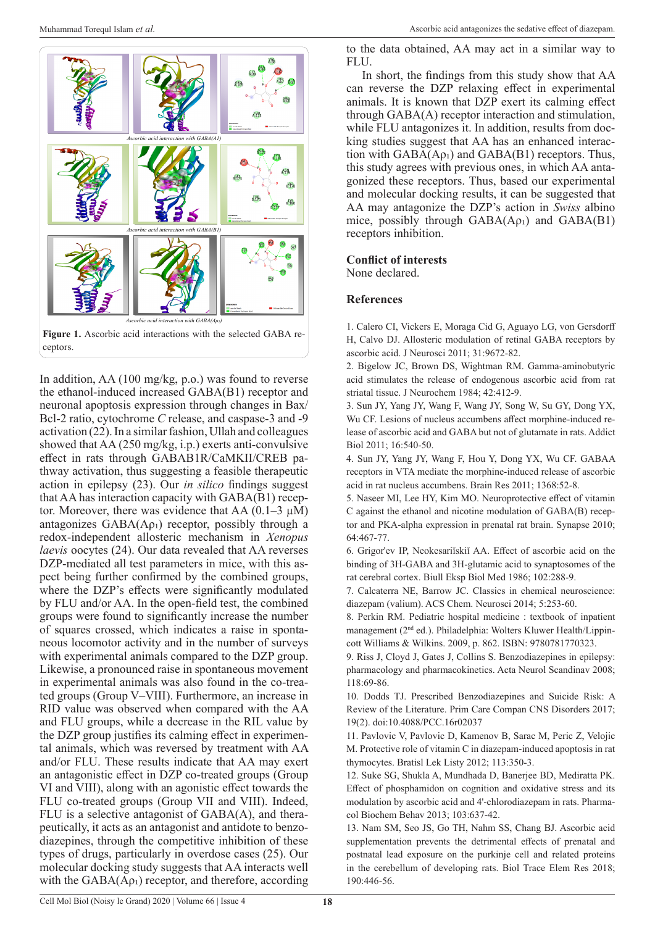

In addition, AA (100 mg/kg, p.o.) was found to reverse the ethanol-induced increased GABA(B1) receptor and neuronal apoptosis expression through changes in Bax/ Bcl-2 ratio, cytochrome *C* release, and caspase-3 and -9 activation (22). In a similar fashion, Ullah and colleagues showed that AA (250 mg/kg, i.p.) exerts anti-convulsive effect in rats through GABAB1R/CaMKII/CREB pathway activation, thus suggesting a feasible therapeutic action in epilepsy (23). Our *in silico* findings suggest that AA has interaction capacity with GABA(B1) receptor. Moreover, there was evidence that AA  $(0.1-3 \mu M)$ antagonizes  $GABA(A_{01})$  receptor, possibly through a redox-independent allosteric mechanism in *Xenopus laevis* oocytes (24). Our data revealed that AA reverses DZP-mediated all test parameters in mice, with this aspect being further confirmed by the combined groups, where the DZP's effects were significantly modulated by FLU and/or AA. In the open-field test, the combined groups were found to significantly increase the number of squares crossed, which indicates a raise in spontaneous locomotor activity and in the number of surveys with experimental animals compared to the DZP group. Likewise, a pronounced raise in spontaneous movement in experimental animals was also found in the co-treated groups (Group V–VIII). Furthermore, an increase in RID value was observed when compared with the AA and FLU groups, while a decrease in the RIL value by the DZP group justifies its calming effect in experimental animals, which was reversed by treatment with AA and/or FLU. These results indicate that AA may exert an antagonistic effect in DZP co-treated groups (Group VI and VIII), along with an agonistic effect towards the FLU co-treated groups (Group VII and VIII). Indeed, FLU is a selective antagonist of GABA(A), and therapeutically, it acts as an antagonist and antidote to benzodiazepines, through the competitive inhibition of these types of drugs, particularly in overdose cases (25). Our molecular docking study suggests that AA interacts well with the  $GABA(A\rho_1)$  receptor, and therefore, according

to the data obtained, AA may act in a similar way to FLU.

In short, the findings from this study show that AA can reverse the DZP relaxing effect in experimental animals. It is known that DZP exert its calming effect through GABA(A) receptor interaction and stimulation, while FLU antagonizes it. In addition, results from docking studies suggest that AA has an enhanced interaction with  $GABA(A\rho_1)$  and  $GABA(B1)$  receptors. Thus, this study agrees with previous ones, in which AA antagonized these receptors. Thus, based our experimental and molecular docking results, it can be suggested that AA may antagonize the DZP's action in *Swiss* albino mice, possibly through  $GABA(A\rho_1)$  and  $GABA(B1)$ receptors inhibition.

# **Conflict of interests**

None declared.

#### **References**

1. Calero CI, Vickers E, Moraga Cid G, Aguayo LG, von Gersdorff H, Calvo DJ. Allosteric modulation of retinal GABA receptors by ascorbic acid. J Neurosci 2011; 31:9672-82.

2. Bigelow JC, Brown DS, Wightman RM. Gamma-aminobutyric acid stimulates the release of endogenous ascorbic acid from rat striatal tissue. J Neurochem 1984; 42:412-9.

3. Sun JY, Yang JY, Wang F, Wang JY, Song W, Su GY, Dong YX, Wu CF. Lesions of nucleus accumbens affect morphine-induced release of ascorbic acid and GABA but not of glutamate in rats. Addict Biol 2011; 16:540-50.

4. Sun JY, Yang JY, Wang F, Hou Y, Dong YX, Wu CF. GABAA receptors in VTA mediate the morphine-induced release of ascorbic acid in rat nucleus accumbens. Brain Res 2011; 1368:52-8.

5. Naseer MI, Lee HY, Kim MO. Neuroprotective effect of vitamin C against the ethanol and nicotine modulation of GABA(B) receptor and PKA-alpha expression in prenatal rat brain. Synapse 2010; 64:467-77.

6. Grigor'ev IP, Neokesariĭskiĭ AA. Effect of ascorbic acid on the binding of 3H-GABA and 3H-glutamic acid to synaptosomes of the rat cerebral cortex. Biull Eksp Biol Med 1986; 102:288-9.

7. Calcaterra NE, Barrow JC. Classics in chemical neuroscience: diazepam (valium). ACS Chem. Neurosci 2014; 5:253-60.

8. Perkin RM. Pediatric hospital medicine : textbook of inpatient management (2nd ed.). Philadelphia: Wolters Kluwer Health/Lippincott Williams & Wilkins. 2009, p. 862. ISBN: 9780781770323.

9. Riss J, Cloyd J, Gates J, Collins S. Benzodiazepines in epilepsy: pharmacology and pharmacokinetics. Acta Neurol Scandinav 2008; 118:69-86.

10. Dodds TJ. Prescribed Benzodiazepines and Suicide Risk: A Review of the Literature. Prim Care Compan CNS Disorders 2017; 19(2). doi:10.4088/PCC.16r02037

11. Pavlovic V, Pavlovic D, Kamenov B, Sarac M, Peric Z, Velojic M. Protective role of vitamin C in diazepam-induced apoptosis in rat thymocytes. Bratisl Lek Listy 2012; 113:350-3.

12. Suke SG, Shukla A, Mundhada D, Banerjee BD, Mediratta PK. Effect of phosphamidon on cognition and oxidative stress and its modulation by ascorbic acid and 4'-chlorodiazepam in rats. Pharmacol Biochem Behav 2013; 103:637-42.

13. Nam SM, Seo JS, Go TH, Nahm SS, Chang BJ. Ascorbic acid supplementation prevents the detrimental effects of prenatal and postnatal lead exposure on the purkinje cell and related proteins in the cerebellum of developing rats. Biol Trace Elem Res 2018; 190:446-56.